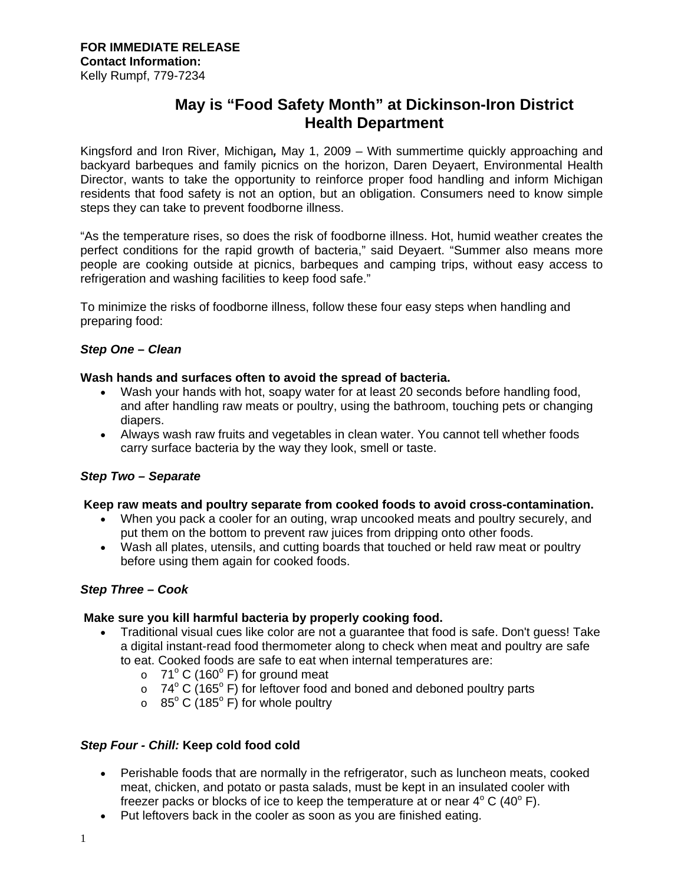# **May is "Food Safety Month" at Dickinson-Iron District Health Department**

Kingsford and Iron River, Michigan*,* May 1, 2009 – With summertime quickly approaching and backyard barbeques and family picnics on the horizon, Daren Deyaert, Environmental Health Director, wants to take the opportunity to reinforce proper food handling and inform Michigan residents that food safety is not an option, but an obligation. Consumers need to know simple steps they can take to prevent foodborne illness.

"As the temperature rises, so does the risk of foodborne illness. Hot, humid weather creates the perfect conditions for the rapid growth of bacteria," said Deyaert. "Summer also means more people are cooking outside at picnics, barbeques and camping trips, without easy access to refrigeration and washing facilities to keep food safe."

To minimize the risks of foodborne illness, follow these four easy steps when handling and preparing food:

## *Step One* **–** *Clean*

### **Wash hands and surfaces often to avoid the spread of bacteria.**

- Wash your hands with hot, soapy water for at least 20 seconds before handling food, and after handling raw meats or poultry, using the bathroom, touching pets or changing diapers.
- Always wash raw fruits and vegetables in clean water. You cannot tell whether foods carry surface bacteria by the way they look, smell or taste.

## *Step Two – Separate*

#### **Keep raw meats and poultry separate from cooked foods to avoid cross-contamination.**

- When you pack a cooler for an outing, wrap uncooked meats and poultry securely, and put them on the bottom to prevent raw juices from dripping onto other foods.
- Wash all plates, utensils, and cutting boards that touched or held raw meat or poultry before using them again for cooked foods.

## *Step Three – Cook*

#### **Make sure you kill harmful bacteria by properly cooking food.**

- Traditional visual cues like color are not a guarantee that food is safe. Don't guess! Take a digital instant-read food thermometer along to check when meat and poultry are safe to eat. Cooked foods are safe to eat when internal temperatures are:
	- $\circ$  71° C (160° F) for ground meat
	- $\circ$  74° C (165° F) for leftover food and boned and deboned poultry parts
	- $\circ$  85° C (185° F) for whole poultry

## *Step Four - Chill:* **Keep cold food cold**

- Perishable foods that are normally in the refrigerator, such as luncheon meats, cooked meat, chicken, and potato or pasta salads, must be kept in an insulated cooler with freezer packs or blocks of ice to keep the temperature at or near  $4^{\circ}$  C (40 $^{\circ}$  F).
- Put leftovers back in the cooler as soon as you are finished eating.